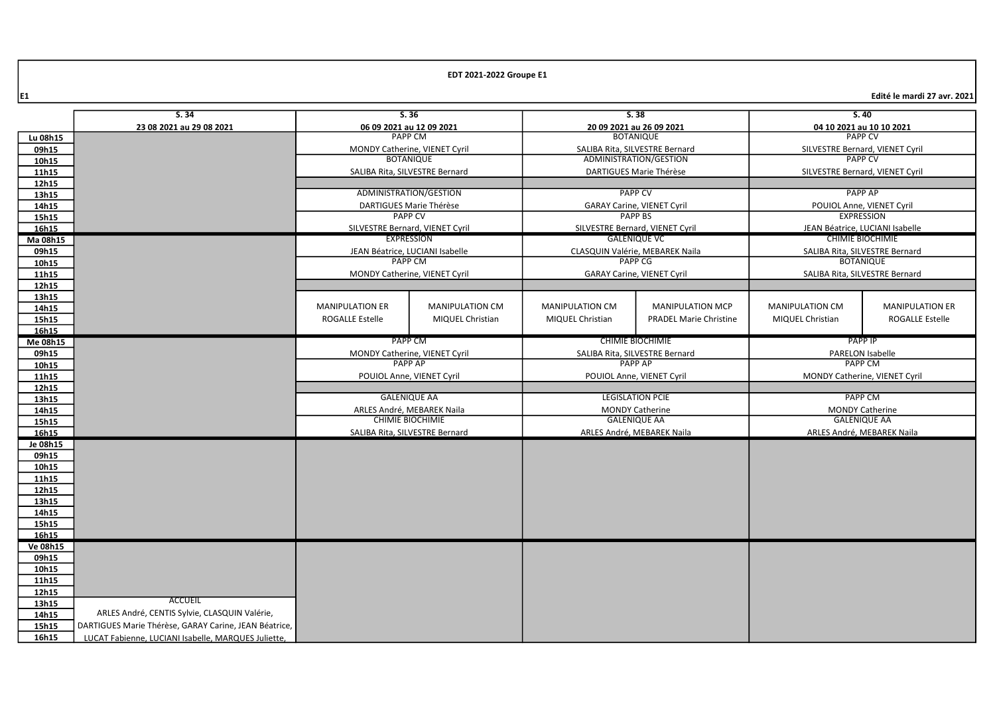$\left| \epsilon_1 \right|$  Edité le mardi 27 avr. 2021 $\left| \epsilon_2 \right|$ 

|                | S.34                                                  |                                                   |                                 |                                   | 5.38                                              |                                 | S.40                                               |  |
|----------------|-------------------------------------------------------|---------------------------------------------------|---------------------------------|-----------------------------------|---------------------------------------------------|---------------------------------|----------------------------------------------------|--|
|                |                                                       | S.36                                              |                                 |                                   |                                                   |                                 |                                                    |  |
| Lu 08h15       | 23 08 2021 au 29 08 2021                              | 06 09 2021 au 12 09 2021<br><b>PAPP CM</b>        |                                 |                                   | 20 09 2021 au 26 09 2021<br><b>BOTANIQUE</b>      |                                 | 04 10 2021 au 10 10 2021<br><b>PAPP CV</b>         |  |
| 09h15          |                                                       |                                                   |                                 |                                   | SALIBA Rita, SILVESTRE Bernard                    | SILVESTRE Bernard, VIENET Cyril |                                                    |  |
| 10h15          |                                                       | MONDY Catherine, VIENET Cyril<br><b>BOTANIQUE</b> |                                 |                                   | ADMINISTRATION/GESTION                            | <b>PAPP CV</b>                  |                                                    |  |
|                |                                                       | SALIBA Rita, SILVESTRE Bernard                    |                                 |                                   | DARTIGUES Marie Thérèse                           |                                 |                                                    |  |
| 11h15<br>12h15 |                                                       |                                                   |                                 |                                   |                                                   | SILVESTRE Bernard, VIENET Cyril |                                                    |  |
|                |                                                       | ADMINISTRATION/GESTION                            |                                 | <b>PAPP CV</b>                    |                                                   | <b>PAPP AP</b>                  |                                                    |  |
| 13h15<br>14h15 |                                                       |                                                   |                                 | <b>GARAY Carine, VIENET Cyril</b> |                                                   | POUIOL Anne, VIENET Cyril       |                                                    |  |
| 15h15          |                                                       | DARTIGUES Marie Thérèse<br><b>PAPP CV</b>         |                                 | <b>PAPP BS</b>                    |                                                   | <b>EXPRESSION</b>               |                                                    |  |
| 16h15          |                                                       | SILVESTRE Bernard, VIENET Cyril                   |                                 | SILVESTRE Bernard, VIENET Cyril   |                                                   | JEAN Béatrice, LUCIANI Isabelle |                                                    |  |
| Ma 08h15       |                                                       |                                                   | EXPRESSION                      | <b>GALENIOUE VC</b>               |                                                   | <b>CHIMIE BIOCHIMIE</b>         |                                                    |  |
| 09h15          |                                                       |                                                   | JEAN Béatrice, LUCIANI Isabelle |                                   |                                                   |                                 |                                                    |  |
| 10h15          |                                                       |                                                   | <b>PAPP CM</b>                  |                                   | CLASQUIN Valérie, MEBAREK Naila<br><b>PAPP CG</b> |                                 | SALIBA Rita, SILVESTRE Bernard<br><b>BOTANIQUE</b> |  |
| 11h15          |                                                       |                                                   | MONDY Catherine, VIENET Cyril   |                                   |                                                   |                                 |                                                    |  |
| 12h15          |                                                       |                                                   |                                 |                                   | <b>GARAY Carine, VIENET Cyril</b>                 |                                 | SALIBA Rita, SILVESTRE Bernard                     |  |
| 13h15          |                                                       |                                                   |                                 |                                   |                                                   |                                 |                                                    |  |
| 14h15          |                                                       | <b>MANIPULATION ER</b>                            | <b>MANIPULATION CM</b>          | <b>MANIPULATION CM</b>            | <b>MANIPULATION MCP</b>                           | <b>MANIPULATION CM</b>          | <b>MANIPULATION ER</b>                             |  |
| 15h15          |                                                       | <b>ROGALLE Estelle</b>                            | MIQUEL Christian                | <b>MIQUEL Christian</b>           | <b>PRADEL Marie Christine</b>                     | MIQUEL Christian                | <b>ROGALLE Estelle</b>                             |  |
| 16h15          |                                                       |                                                   |                                 |                                   |                                                   |                                 |                                                    |  |
| Me 08h15       |                                                       |                                                   | PAPP CM                         |                                   | <b>CHIMIE BIOCHIMIE</b>                           |                                 | <b>PAPP IP</b>                                     |  |
| 09h15          |                                                       |                                                   | MONDY Catherine, VIENET Cyril   |                                   | SALIBA Rita, SILVESTRE Bernard                    |                                 | <b>PARELON Isabelle</b>                            |  |
| 10h15          |                                                       | <b>PAPP AP</b>                                    |                                 | PAPP AP                           |                                                   |                                 | <b>PAPP CM</b>                                     |  |
| 11h15          |                                                       | POUIOL Anne, VIENET Cyril                         |                                 | POUIOL Anne, VIENET Cyril         |                                                   | MONDY Catherine, VIENET Cyril   |                                                    |  |
| 12h15          |                                                       |                                                   |                                 |                                   |                                                   |                                 |                                                    |  |
| 13h15          |                                                       | <b>GALENIQUE AA</b>                               |                                 |                                   | <b>LEGISLATION PCIE</b>                           |                                 | <b>PAPP CM</b>                                     |  |
| 14h15          |                                                       | ARLES André, MEBAREK Naila                        |                                 |                                   | <b>MONDY Catherine</b>                            |                                 | <b>MONDY Catherine</b>                             |  |
| 15h15          |                                                       | <b>CHIMIE BIOCHIMIE</b>                           |                                 | <b>GALENIQUE AA</b>               |                                                   |                                 | <b>GALENIQUE AA</b>                                |  |
| 16h15          |                                                       | SALIBA Rita, SILVESTRE Bernard                    |                                 | ARLES André, MEBAREK Naila        |                                                   |                                 | ARLES André, MEBAREK Naila                         |  |
| Je 08h15       |                                                       |                                                   |                                 |                                   |                                                   |                                 |                                                    |  |
| 09h15          |                                                       |                                                   |                                 |                                   |                                                   |                                 |                                                    |  |
| 10h15          |                                                       |                                                   |                                 |                                   |                                                   |                                 |                                                    |  |
| 11h15          |                                                       |                                                   |                                 |                                   |                                                   |                                 |                                                    |  |
| 12h15          |                                                       |                                                   |                                 |                                   |                                                   |                                 |                                                    |  |
| 13h15          |                                                       |                                                   |                                 |                                   |                                                   |                                 |                                                    |  |
| 14h15          |                                                       |                                                   |                                 |                                   |                                                   |                                 |                                                    |  |
| 15h15          |                                                       |                                                   |                                 |                                   |                                                   |                                 |                                                    |  |
| 16h15          |                                                       |                                                   |                                 |                                   |                                                   |                                 |                                                    |  |
| Ve 08h15       |                                                       |                                                   |                                 |                                   |                                                   |                                 |                                                    |  |
| 09h15          |                                                       |                                                   |                                 |                                   |                                                   |                                 |                                                    |  |
| 10h15          |                                                       |                                                   |                                 |                                   |                                                   |                                 |                                                    |  |
| 11h15          |                                                       |                                                   |                                 |                                   |                                                   |                                 |                                                    |  |
| 12h15          |                                                       |                                                   |                                 |                                   |                                                   |                                 |                                                    |  |
| 13h15          | <b>ACCUEIL</b>                                        |                                                   |                                 |                                   |                                                   |                                 |                                                    |  |
| 14h15          | ARLES André, CENTIS Sylvie, CLASQUIN Valérie,         |                                                   |                                 |                                   |                                                   |                                 |                                                    |  |
| 15h15          | DARTIGUES Marie Thérèse, GARAY Carine, JEAN Béatrice, |                                                   |                                 |                                   |                                                   |                                 |                                                    |  |
| 16h15          | LUCAT Fabienne, LUCIANI Isabelle, MARQUES Juliette,   |                                                   |                                 |                                   |                                                   |                                 |                                                    |  |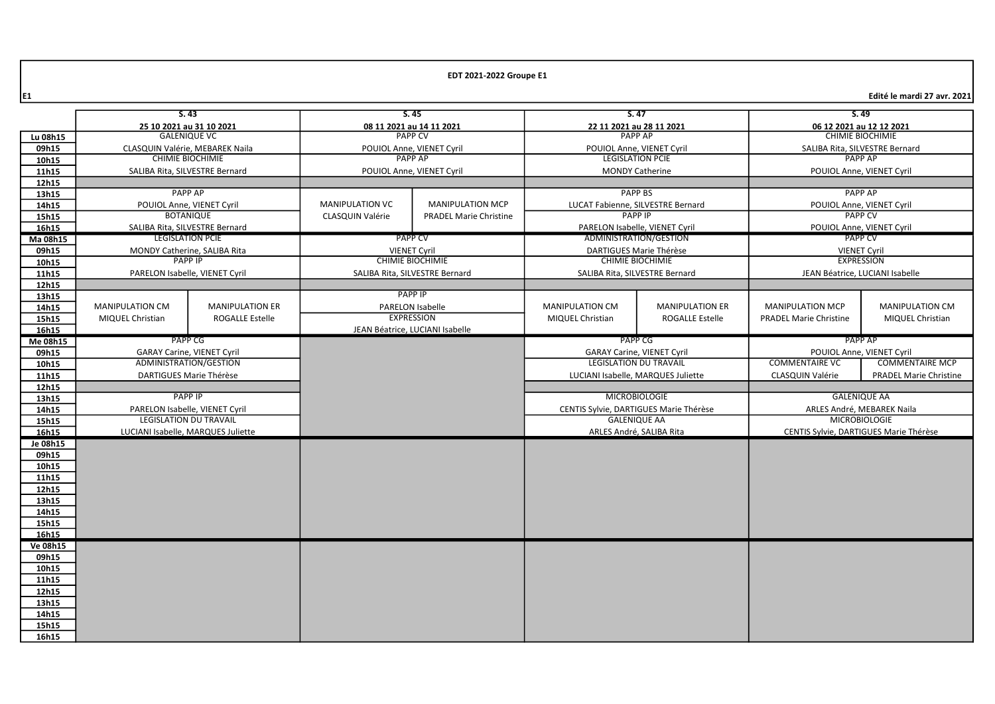E1 Edité le mardi 27 avr. 2021

|          | S.43<br>5.45                       |                           | 5.47                                              |                                 | 5.49                              |                                        |                                        |                                 |  |
|----------|------------------------------------|---------------------------|---------------------------------------------------|---------------------------------|-----------------------------------|----------------------------------------|----------------------------------------|---------------------------------|--|
|          | 25 10 2021 au 31 10 2021           |                           |                                                   | 08 11 2021 au 14 11 2021        | 22 11 2021 au 28 11 2021          |                                        | 06 12 2021 au 12 12 2021               |                                 |  |
| Lu 08h15 | <b>GALENIQUE VC</b>                |                           | <b>PAPP CV</b>                                    |                                 | <b>PAPP AP</b>                    |                                        | CHIMIE BIOCHIMIE                       |                                 |  |
| 09h15    | CLASQUIN Valérie, MEBAREK Naila    |                           | POUIOL Anne, VIENET Cyril                         |                                 | POUIOL Anne, VIENET Cyril         |                                        | SALIBA Rita, SILVESTRE Bernard         |                                 |  |
| 10h15    |                                    | <b>CHIMIE BIOCHIMIE</b>   |                                                   | <b>PAPP AP</b>                  | <b>LEGISLATION PCIE</b>           |                                        |                                        | <b>PAPP AP</b>                  |  |
| 11h15    | SALIBA Rita, SILVESTRE Bernard     |                           |                                                   | POUIOL Anne, VIENET Cyril       | <b>MONDY Catherine</b>            |                                        |                                        | POUIOL Anne, VIENET Cyril       |  |
| 12h15    |                                    |                           |                                                   |                                 |                                   |                                        |                                        |                                 |  |
| 13h15    |                                    | <b>PAPP AP</b>            |                                                   |                                 |                                   | <b>PAPP BS</b>                         |                                        | <b>PAPP AP</b>                  |  |
| 14h15    |                                    | POUIOL Anne, VIENET Cyril | <b>MANIPULATION VC</b><br><b>MANIPULATION MCP</b> |                                 | LUCAT Fabienne, SILVESTRE Bernard |                                        | POUIOL Anne, VIENET Cyril              |                                 |  |
| 15h15    |                                    | <b>BOTANIQUE</b>          | CLASQUIN Valérie<br><b>PRADEL Marie Christine</b> |                                 | <b>PAPP IP</b>                    |                                        | <b>PAPP CV</b>                         |                                 |  |
| 16h15    | SALIBA Rita, SILVESTRE Bernard     |                           |                                                   |                                 | PARELON Isabelle, VIENET Cvril    |                                        |                                        | POUIOL Anne, VIENET Cyril       |  |
| Ma 08h15 |                                    | <b>LEGISLATION PCIE</b>   | <b>PAPP CV</b>                                    |                                 | ADMINISTRATION/GESTION            |                                        | <b>PAPP CV</b>                         |                                 |  |
| 09h15    | MONDY Catherine, SALIBA Rita       |                           | <b>VIENET Cyril</b>                               |                                 | DARTIGUES Marie Thérèse           |                                        | <b>VIENET Cyril</b>                    |                                 |  |
| 10h15    |                                    | <b>PAPP IP</b>            | <b>CHIMIE BIOCHIMIE</b>                           |                                 | <b>CHIMIE BIOCHIMIE</b>           |                                        | <b>EXPRESSION</b>                      |                                 |  |
| 11h15    | PARELON Isabelle, VIENET Cyril     |                           |                                                   | SALIBA Rita, SILVESTRE Bernard  | SALIBA Rita, SILVESTRE Bernard    |                                        |                                        | JEAN Béatrice, LUCIANI Isabelle |  |
| 12h15    |                                    |                           |                                                   |                                 |                                   |                                        |                                        |                                 |  |
| 13h15    |                                    |                           |                                                   | <b>PAPP IP</b>                  |                                   |                                        |                                        |                                 |  |
| 14h15    | <b>MANIPULATION CM</b>             | <b>MANIPULATION ER</b>    |                                                   | PARELON Isabelle                | <b>MANIPULATION CM</b>            | <b>MANIPULATION ER</b>                 | <b>MANIPULATION MCP</b>                | <b>MANIPULATION CM</b>          |  |
| 15h15    | MIQUEL Christian                   | <b>ROGALLE Estelle</b>    |                                                   | <b>EXPRESSION</b>               | MIQUEL Christian                  | <b>ROGALLE Estelle</b>                 | <b>PRADEL Marie Christine</b>          | MIQUEL Christian                |  |
| 16h15    |                                    |                           |                                                   | JEAN Béatrice, LUCIANI Isabelle |                                   |                                        |                                        |                                 |  |
| Me 08h15 |                                    | <b>PAPP CG</b>            |                                                   |                                 | PAPP CG                           |                                        |                                        | PAPP AP                         |  |
| 09h15    | <b>GARAY Carine, VIENET Cyril</b>  |                           |                                                   |                                 | <b>GARAY Carine, VIENET Cyril</b> |                                        | POUIOL Anne, VIENET Cyril              |                                 |  |
| 10h15    |                                    | ADMINISTRATION/GESTION    |                                                   |                                 | <b>LEGISLATION DU TRAVAIL</b>     |                                        | <b>COMMENTAIRE VC</b>                  | <b>COMMENTAIRE MCP</b>          |  |
| 11h15    | DARTIGUES Marie Thérèse            |                           |                                                   |                                 |                                   | LUCIANI Isabelle, MARQUES Juliette     | CLASQUIN Valérie                       | <b>PRADEL Marie Christine</b>   |  |
| 12h15    |                                    |                           |                                                   |                                 |                                   |                                        |                                        |                                 |  |
| 13h15    | <b>PAPP IP</b>                     |                           |                                                   |                                 |                                   | <b>MICROBIOLOGIE</b>                   |                                        | <b>GALENIQUE AA</b>             |  |
| 14h15    | PARELON Isabelle, VIENET Cyril     |                           |                                                   |                                 |                                   | CENTIS Sylvie, DARTIGUES Marie Thérèse |                                        | ARLES André, MEBAREK Naila      |  |
| 15h15    | <b>LEGISLATION DU TRAVAIL</b>      |                           |                                                   |                                 | <b>GALENIQUE AA</b>               |                                        |                                        | <b>MICROBIOLOGIE</b>            |  |
| 16h15    | LUCIANI Isabelle, MARQUES Juliette |                           |                                                   |                                 | ARLES André, SALIBA Rita          |                                        | CENTIS Sylvie, DARTIGUES Marie Thérèse |                                 |  |
| Je 08h15 |                                    |                           |                                                   |                                 |                                   |                                        |                                        |                                 |  |
| 09h15    |                                    |                           |                                                   |                                 |                                   |                                        |                                        |                                 |  |
| 10h15    |                                    |                           |                                                   |                                 |                                   |                                        |                                        |                                 |  |
| 11h15    |                                    |                           |                                                   |                                 |                                   |                                        |                                        |                                 |  |
| 12h15    |                                    |                           |                                                   |                                 |                                   |                                        |                                        |                                 |  |
| 13h15    |                                    |                           |                                                   |                                 |                                   |                                        |                                        |                                 |  |
| 14h15    |                                    |                           |                                                   |                                 |                                   |                                        |                                        |                                 |  |
| 15h15    |                                    |                           |                                                   |                                 |                                   |                                        |                                        |                                 |  |
| 16h15    |                                    |                           |                                                   |                                 |                                   |                                        |                                        |                                 |  |
| Ve 08h15 |                                    |                           |                                                   |                                 |                                   |                                        |                                        |                                 |  |
| 09h15    |                                    |                           |                                                   |                                 |                                   |                                        |                                        |                                 |  |
| 10h15    |                                    |                           |                                                   |                                 |                                   |                                        |                                        |                                 |  |
| 11h15    |                                    |                           |                                                   |                                 |                                   |                                        |                                        |                                 |  |
| 12h15    |                                    |                           |                                                   |                                 |                                   |                                        |                                        |                                 |  |
| 13h15    |                                    |                           |                                                   |                                 |                                   |                                        |                                        |                                 |  |
| 14h15    |                                    |                           |                                                   |                                 |                                   |                                        |                                        |                                 |  |
| 15h15    |                                    |                           |                                                   |                                 |                                   |                                        |                                        |                                 |  |
| 16h15    |                                    |                           |                                                   |                                 |                                   |                                        |                                        |                                 |  |
|          |                                    |                           |                                                   |                                 |                                   |                                        |                                        |                                 |  |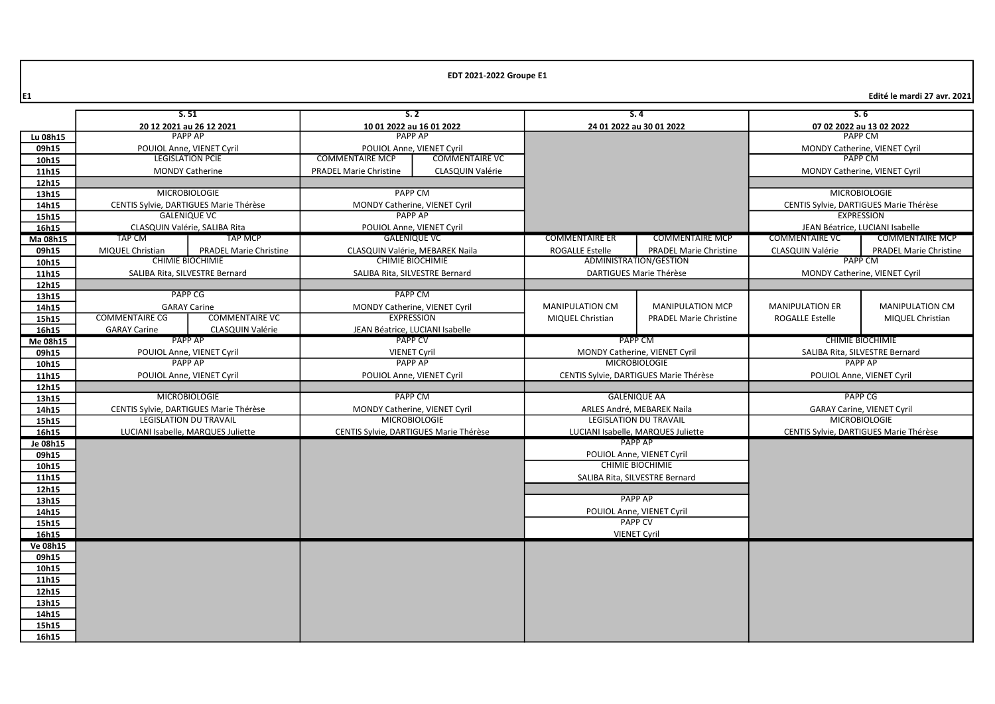E1 Edité le mardi 27 avr. 2021

|                | S.51                                        |                                                                         | S.2                                                      |                                 | S.4                                                         |                                    | S.6                                              |                                                           |
|----------------|---------------------------------------------|-------------------------------------------------------------------------|----------------------------------------------------------|---------------------------------|-------------------------------------------------------------|------------------------------------|--------------------------------------------------|-----------------------------------------------------------|
|                | 20 12 2021 au 26 12 2021                    |                                                                         | 10 01 2022 au 16 01 2022                                 |                                 | 24 01 2022 au 30 01 2022                                    |                                    | 07 02 2022 au 13 02 2022                         |                                                           |
| Lu 08h15       | <b>PAPP AP</b>                              |                                                                         | <b>PAPP AP</b>                                           |                                 |                                                             |                                    |                                                  | <b>PAPP CM</b>                                            |
| 09h15          | POUIOL Anne, VIENET Cyril                   |                                                                         | POUIOL Anne, VIENET Cyril                                |                                 |                                                             |                                    |                                                  | MONDY Catherine, VIENET Cyril                             |
| 10h15          | <b>LEGISLATION PCIE</b>                     |                                                                         | <b>COMMENTAIRE MCP</b><br><b>COMMENTAIRE VC</b>          |                                 |                                                             |                                    |                                                  | <b>PAPP CM</b>                                            |
| 11h15          |                                             | <b>MONDY Catherine</b>                                                  | <b>PRADEL Marie Christine</b><br><b>CLASQUIN Valérie</b> |                                 |                                                             |                                    |                                                  | MONDY Catherine, VIENET Cyril                             |
| 12h15          |                                             |                                                                         |                                                          |                                 |                                                             |                                    |                                                  |                                                           |
| 13h15          |                                             | <b>MICROBIOLOGIE</b>                                                    | <b>PAPP CM</b>                                           |                                 |                                                             |                                    |                                                  | <b>MICROBIOLOGIE</b>                                      |
| 14h15          | CENTIS Sylvie, DARTIGUES Marie Thérèse      |                                                                         | MONDY Catherine, VIENET Cyril                            |                                 |                                                             |                                    |                                                  | CENTIS Sylvie, DARTIGUES Marie Thérèse                    |
| 15h15          | <b>GALENIQUE VC</b>                         |                                                                         |                                                          | <b>PAPP AP</b>                  |                                                             |                                    |                                                  | <b>EXPRESSION</b>                                         |
| 16h15          |                                             | CLASQUIN Valérie, SALIBA Rita                                           |                                                          | POUIOL Anne, VIENET Cyril       |                                                             |                                    |                                                  | JEAN Béatrice, LUCIANI Isabelle                           |
| Ma 08h15       | <b>TAP CM</b>                               | <b>TAP MCP</b>                                                          |                                                          | <b>GALENIQUE VC</b>             | <b>COMMENTAIRE ER</b>                                       | <b>COMMENTAIRE MCP</b>             | <b>COMMENTAIRE VC</b>                            | <b>COMMENTAIRE MCP</b>                                    |
| 09h15          | MIQUEL Christian                            | <b>PRADEL Marie Christine</b>                                           |                                                          | CLASQUIN Valérie. MEBAREK Naila | <b>ROGALLE Estelle</b>                                      | <b>PRADEL Marie Christine</b>      | CLASQUIN Valérie                                 | <b>PRADEL Marie Christine</b>                             |
| 10h15          |                                             | <b>CHIMIE BIOCHIMIE</b>                                                 |                                                          | <b>CHIMIE BIOCHIMIE</b>         |                                                             | ADMINISTRATION/GESTION             |                                                  | <b>PAPP CM</b>                                            |
| 11h15          |                                             | SALIBA Rita, SILVESTRE Bernard                                          |                                                          | SALIBA Rita, SILVESTRE Bernard  |                                                             | DARTIGUES Marie Thérèse            |                                                  | MONDY Catherine, VIENET Cyril                             |
| 12h15          |                                             |                                                                         |                                                          |                                 |                                                             |                                    |                                                  |                                                           |
| 13h15          |                                             | <b>PAPP CG</b>                                                          |                                                          | <b>PAPP CM</b>                  |                                                             |                                    |                                                  |                                                           |
| 14h15          |                                             | <b>GARAY Carine</b>                                                     |                                                          | MONDY Catherine, VIENET Cyril   | <b>MANIPULATION CM</b>                                      | <b>MANIPULATION MCP</b>            | <b>MANIPULATION ER</b>                           | <b>MANIPULATION CM</b>                                    |
| 15h15          | <b>COMMENTAIRE CG</b>                       | <b>COMMENTAIRE VC</b>                                                   |                                                          | <b>EXPRESSION</b>               | MIQUEL Christian                                            | <b>PRADEL Marie Christine</b>      | <b>ROGALLE Estelle</b>                           | MIQUEL Christian                                          |
| 16h15          | <b>GARAY Carine</b>                         | CLASQUIN Valérie                                                        | JEAN Béatrice, LUCIANI Isabelle                          |                                 |                                                             |                                    |                                                  |                                                           |
| Me 08h15       |                                             | <b>PAPP AP</b><br><b>PAPP CV</b>                                        |                                                          | PAPP CM                         |                                                             | <b>CHIMIE BIOCHIMIE</b>            |                                                  |                                                           |
| 09h15          | POUIOL Anne, VIENET Cyril<br><b>PAPP AP</b> |                                                                         | <b>VIENET Cyril</b>                                      |                                 | MONDY Catherine, VIENET Cyril<br><b>MICROBIOLOGIE</b>       |                                    | SALIBA Rita, SILVESTRE Bernard<br><b>PAPP AP</b> |                                                           |
| 10h15          |                                             |                                                                         | <b>PAPP AP</b>                                           |                                 | CENTIS Sylvie, DARTIGUES Marie Thérèse                      |                                    |                                                  |                                                           |
| 11h15          | POUIOL Anne, VIENET Cyril                   |                                                                         |                                                          | POUIOL Anne, VIENET Cyril       |                                                             |                                    |                                                  | POUIOL Anne, VIENET Cyril                                 |
| 12h15          | <b>MICROBIOLOGIE</b>                        |                                                                         |                                                          | <b>PAPP CM</b>                  |                                                             | <b>GALENIQUE AA</b>                |                                                  | <b>PAPP CG</b>                                            |
| 13h15          |                                             |                                                                         |                                                          |                                 |                                                             |                                    |                                                  |                                                           |
| 14h15          |                                             | CENTIS Sylvie, DARTIGUES Marie Thérèse<br><b>LEGISLATION DU TRAVAIL</b> | MONDY Catherine, VIENET Cyril<br><b>MICROBIOLOGIE</b>    |                                 | ARLES André, MEBAREK Naila<br><b>LEGISLATION DU TRAVAIL</b> |                                    |                                                  | <b>GARAY Carine, VIENET Cyril</b><br><b>MICROBIOLOGIE</b> |
| 15h15<br>16h15 |                                             | LUCIANI Isabelle, MARQUES Juliette                                      | CENTIS Sylvie, DARTIGUES Marie Thérèse                   |                                 |                                                             | LUCIANI Isabelle, MARQUES Juliette |                                                  | CENTIS Sylvie, DARTIGUES Marie Thérèse                    |
| Je 08h15       |                                             |                                                                         |                                                          |                                 |                                                             | PAPP AP                            |                                                  |                                                           |
| 09h15          |                                             |                                                                         |                                                          |                                 |                                                             | POUIOL Anne, VIENET Cyril          |                                                  |                                                           |
| 10h15          |                                             |                                                                         |                                                          |                                 |                                                             | <b>CHIMIE BIOCHIMIE</b>            |                                                  |                                                           |
| 11h15          |                                             |                                                                         |                                                          |                                 |                                                             | SALIBA Rita, SILVESTRE Bernard     |                                                  |                                                           |
| 12h15          |                                             |                                                                         |                                                          |                                 |                                                             |                                    |                                                  |                                                           |
| 13h15          |                                             |                                                                         |                                                          | PAPP AP                         |                                                             |                                    |                                                  |                                                           |
| 14h15          |                                             |                                                                         |                                                          |                                 | POUIOL Anne, VIENET Cyril                                   |                                    |                                                  |                                                           |
| 15h15          |                                             |                                                                         |                                                          | <b>PAPP CV</b>                  |                                                             |                                    |                                                  |                                                           |
| 16h15          |                                             |                                                                         | <b>VIENET Cyril</b>                                      |                                 |                                                             |                                    |                                                  |                                                           |
| Ve 08h15       |                                             |                                                                         |                                                          |                                 |                                                             |                                    |                                                  |                                                           |
| 09h15          |                                             |                                                                         |                                                          |                                 |                                                             |                                    |                                                  |                                                           |
| 10h15          |                                             |                                                                         |                                                          |                                 |                                                             |                                    |                                                  |                                                           |
| 11h15          |                                             |                                                                         |                                                          |                                 |                                                             |                                    |                                                  |                                                           |
| 12h15          |                                             |                                                                         |                                                          |                                 |                                                             |                                    |                                                  |                                                           |
| 13h15          |                                             |                                                                         |                                                          |                                 |                                                             |                                    |                                                  |                                                           |
| 14h15          |                                             |                                                                         |                                                          |                                 |                                                             |                                    |                                                  |                                                           |
| 15h15          |                                             |                                                                         |                                                          |                                 |                                                             |                                    |                                                  |                                                           |
| 16h15          |                                             |                                                                         |                                                          |                                 |                                                             |                                    |                                                  |                                                           |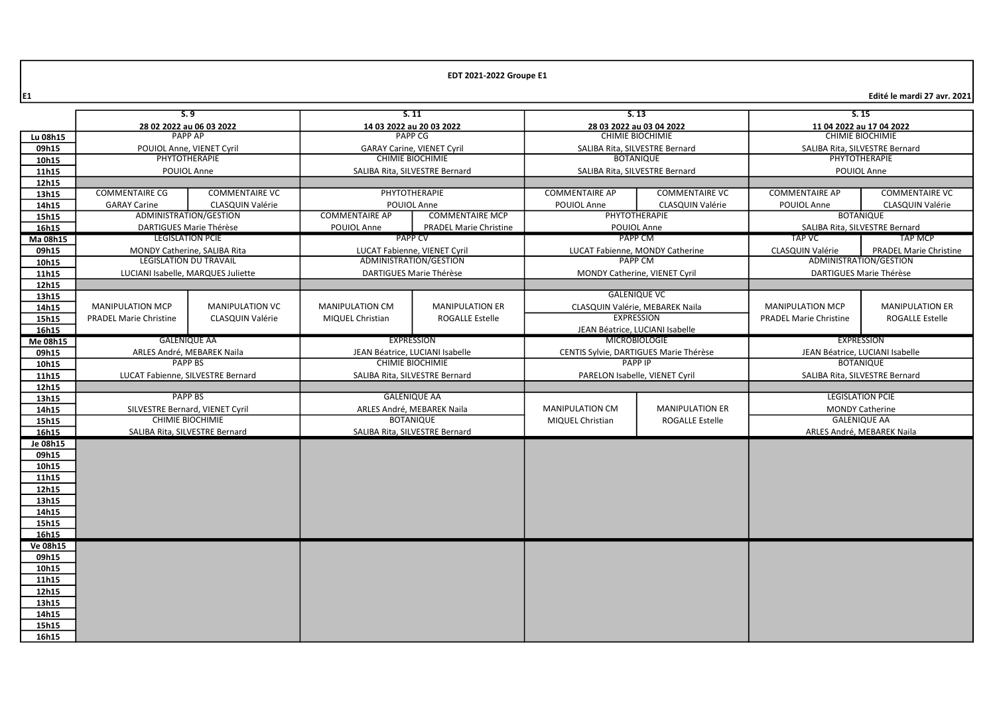$\left| \epsilon_1 \right|$  Edité le mardi 27 avr. 2021 $\left| \epsilon_2 \right|$ 

|          | 5.9                                |                                | S.11                              |                               | S.13                                             |                                 | 5.15                            |                                |
|----------|------------------------------------|--------------------------------|-----------------------------------|-------------------------------|--------------------------------------------------|---------------------------------|---------------------------------|--------------------------------|
|          | 28 02 2022 au 06 03 2022           |                                | 14 03 2022 au 20 03 2022          |                               | 28 03 2022 au 03 04 2022                         |                                 | 11 04 2022 au 17 04 2022        |                                |
| Lu 08h15 | <b>PAPP AP</b>                     |                                | PAPP CG                           |                               | CHIMIE BIOCHIMIE                                 |                                 | <b>CHIMIE BIOCHIMIE</b>         |                                |
| 09h15    | POUIOL Anne, VIENET Cyril          |                                | <b>GARAY Carine, VIENET Cyril</b> |                               | SALIBA Rita, SILVESTRE Bernard                   |                                 | SALIBA Rita, SILVESTRE Bernard  |                                |
| 10h15    |                                    | PHYTOTHERAPIE                  | <b>CHIMIE BIOCHIMIE</b>           |                               |                                                  | <b>BOTANIQUE</b>                | PHYTOTHERAPIE                   |                                |
| 11h15    |                                    | POUIOL Anne                    | SALIBA Rita, SILVESTRE Bernard    |                               |                                                  | SALIBA Rita, SILVESTRE Bernard  | POUIOL Anne                     |                                |
| 12h15    |                                    |                                |                                   |                               |                                                  |                                 |                                 |                                |
| 13h15    | <b>COMMENTAIRE CG</b>              | <b>COMMENTAIRE VC</b>          |                                   | <b>PHYTOTHERAPIE</b>          | <b>COMMENTAIRE AP</b>                            | <b>COMMENTAIRE VC</b>           | <b>COMMENTAIRE AP</b>           | <b>COMMENTAIRE VC</b>          |
| 14h15    | <b>GARAY Carine</b>                | CLASQUIN Valérie               |                                   | POUIOL Anne                   | POUIOL Anne                                      | CLASQUIN Valérie                | POUIOL Anne                     | CLASQUIN Valérie               |
| 15h15    | ADMINISTRATION/GESTION             |                                | <b>COMMENTAIRE AP</b>             | <b>COMMENTAIRE MCP</b>        |                                                  | PHYTOTHERAPIE                   |                                 | <b>BOTANIQUE</b>               |
| 16h15    |                                    | DARTIGUES Marie Thérèse        | POUIOL Anne                       | <b>PRADEL Marie Christine</b> | POUIOL Anne                                      |                                 |                                 | SALIBA Rita, SILVESTRE Bernard |
| Ma 08h15 |                                    | <b>LEGISLATION PCIE</b>        | <b>PAPP CV</b>                    |                               | PAPP CM                                          |                                 | <b>TAP VC</b>                   | <b>TAP MCP</b>                 |
| 09h15    |                                    | MONDY Catherine, SALIBA Rita   | LUCAT Fabienne, VIENET Cyril      |                               | LUCAT Fabienne, MONDY Catherine                  |                                 | CLASQUIN Valérie                | <b>PRADEL Marie Christine</b>  |
| 10h15    |                                    | <b>LEGISLATION DU TRAVAIL</b>  | ADMINISTRATION/GESTION            |                               | <b>PAPP CM</b>                                   |                                 |                                 | ADMINISTRATION/GESTION         |
| 11h15    | LUCIANI Isabelle, MARQUES Juliette |                                |                                   | DARTIGUES Marie Thérèse       |                                                  | MONDY Catherine, VIENET Cyril   |                                 | DARTIGUES Marie Thérèse        |
| 12h15    |                                    |                                |                                   |                               |                                                  |                                 |                                 |                                |
| 13h15    |                                    |                                |                                   |                               |                                                  | <b>GALENIQUE VC</b>             |                                 |                                |
| 14h15    | <b>MANIPULATION MCP</b>            | <b>MANIPULATION VC</b>         | <b>MANIPULATION CM</b>            | <b>MANIPULATION ER</b>        |                                                  | CLASQUIN Valérie, MEBAREK Naila | <b>MANIPULATION MCP</b>         | <b>MANIPULATION ER</b>         |
| 15h15    | <b>PRADEL Marie Christine</b>      | <b>CLASQUIN Valérie</b>        | MIQUEL Christian                  | <b>ROGALLE Estelle</b>        |                                                  | <b>EXPRESSION</b>               | <b>PRADEL Marie Christine</b>   | <b>ROGALLE Estelle</b>         |
| 16h15    |                                    |                                |                                   |                               | JEAN Béatrice, LUCIANI Isabelle                  |                                 |                                 |                                |
| Me 08h15 |                                    | <b>GALENIQUE AA</b>            | <b>EXPRESSION</b>                 |                               | <b>MICROBIOLOGIE</b>                             |                                 |                                 | <b>EXPRESSION</b>              |
| 09h15    | ARLES André, MEBAREK Naila         |                                | JEAN Béatrice, LUCIANI Isabelle   |                               | CENTIS Sylvie, DARTIGUES Marie Thérèse           |                                 | JEAN Béatrice, LUCIANI Isabelle |                                |
| 10h15    | <b>PAPP BS</b>                     |                                | <b>CHIMIE BIOCHIMIE</b>           |                               | <b>PAPP IP</b>                                   |                                 | <b>BOTANIQUE</b>                |                                |
| 11h15    | LUCAT Fabienne, SILVESTRE Bernard  |                                | SALIBA Rita, SILVESTRE Bernard    |                               | PARELON Isabelle, VIENET Cyril                   |                                 |                                 | SALIBA Rita, SILVESTRE Bernard |
| 12h15    |                                    |                                |                                   |                               |                                                  |                                 |                                 |                                |
| 13h15    | <b>PAPP BS</b>                     |                                |                                   | <b>GALENIQUE AA</b>           |                                                  |                                 |                                 | <b>LEGISLATION PCIE</b>        |
| 14h15    | SILVESTRE Bernard, VIENET Cyril    |                                | ARLES André, MEBAREK Naila        |                               | <b>MANIPULATION CM</b><br><b>MANIPULATION ER</b> |                                 | <b>MONDY Catherine</b>          |                                |
| 15h15    |                                    | <b>CHIMIE BIOCHIMIE</b>        | <b>BOTANIQUE</b>                  |                               | MIQUEL Christian<br><b>ROGALLE Estelle</b>       |                                 | <b>GALENIQUE AA</b>             |                                |
| 16h15    |                                    | SALIBA Rita, SILVESTRE Bernard | SALIBA Rita, SILVESTRE Bernard    |                               |                                                  |                                 | ARLES André, MEBAREK Naila      |                                |
| Je 08h15 |                                    |                                |                                   |                               |                                                  |                                 |                                 |                                |
| 09h15    |                                    |                                |                                   |                               |                                                  |                                 |                                 |                                |
| 10h15    |                                    |                                |                                   |                               |                                                  |                                 |                                 |                                |
| 11h15    |                                    |                                |                                   |                               |                                                  |                                 |                                 |                                |
| 12h15    |                                    |                                |                                   |                               |                                                  |                                 |                                 |                                |
| 13h15    |                                    |                                |                                   |                               |                                                  |                                 |                                 |                                |
| 14h15    |                                    |                                |                                   |                               |                                                  |                                 |                                 |                                |
| 15h15    |                                    |                                |                                   |                               |                                                  |                                 |                                 |                                |
| 16h15    |                                    |                                |                                   |                               |                                                  |                                 |                                 |                                |
| Ve 08h15 |                                    |                                |                                   |                               |                                                  |                                 |                                 |                                |
| 09h15    |                                    |                                |                                   |                               |                                                  |                                 |                                 |                                |
| 10h15    |                                    |                                |                                   |                               |                                                  |                                 |                                 |                                |
| 11h15    |                                    |                                |                                   |                               |                                                  |                                 |                                 |                                |
| 12h15    |                                    |                                |                                   |                               |                                                  |                                 |                                 |                                |
| 13h15    |                                    |                                |                                   |                               |                                                  |                                 |                                 |                                |
| 14h15    |                                    |                                |                                   |                               |                                                  |                                 |                                 |                                |
| 15h15    |                                    |                                |                                   |                               |                                                  |                                 |                                 |                                |
| 16h15    |                                    |                                |                                   |                               |                                                  |                                 |                                 |                                |